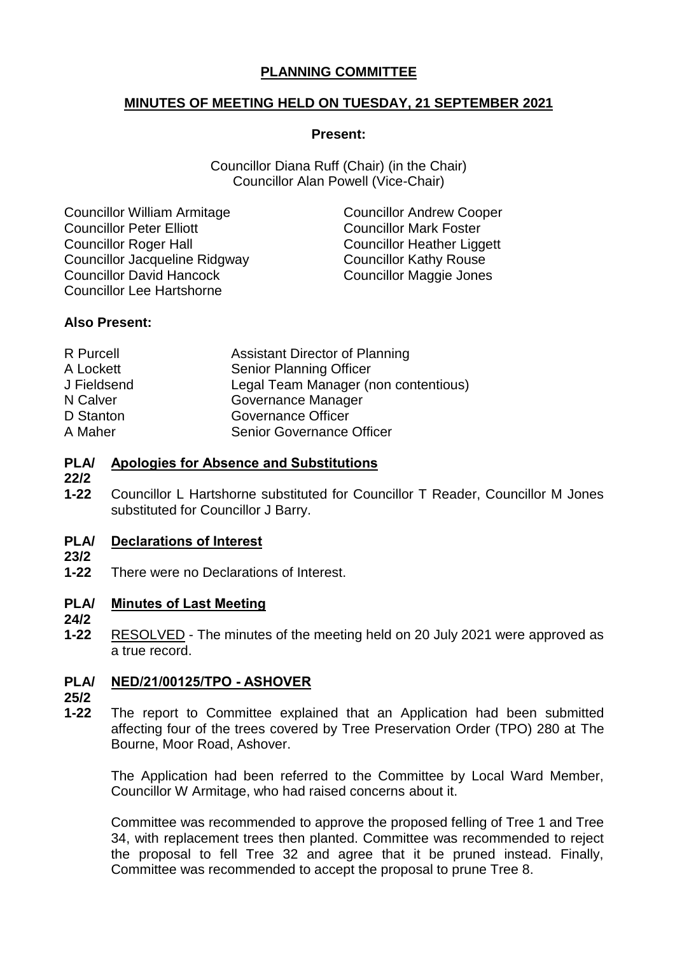# **PLANNING COMMITTEE**

# **MINUTES OF MEETING HELD ON TUESDAY, 21 SEPTEMBER 2021**

### **Present:**

Councillor Diana Ruff (Chair) (in the Chair) Councillor Alan Powell (Vice-Chair)

Councillor William Armitage Councillor Andrew Cooper Councillor Peter Elliott Councillor Mark Foster Councillor Roger Hall Councillor Heather Liggett Councillor Jacqueline Ridgway Councillor Kathy Rouse Councillor David Hancock Councillor Maggie Jones Councillor Lee Hartshorne

## **Also Present:**

| R Purcell   | <b>Assistant Director of Planning</b> |
|-------------|---------------------------------------|
| A Lockett   | <b>Senior Planning Officer</b>        |
| J Fieldsend | Legal Team Manager (non contentious)  |
| N Calver    | Governance Manager                    |
| D Stanton   | <b>Governance Officer</b>             |
| A Maher     | <b>Senior Governance Officer</b>      |

# **PLA/ Apologies for Absence and Substitutions**

- **22/2**
- **1-22** Councillor L Hartshorne substituted for Councillor T Reader, Councillor M Jones substituted for Councillor J Barry.

# **PLA/ Declarations of Interest**

- **23/2**
- **1-22** There were no Declarations of Interest.

#### **PLA/ Minutes of Last Meeting**

- **24/2**
- **1-22** RESOLVED - The minutes of the meeting held on 20 July 2021 were approved as a true record.

#### **PLA/ NED/21/00125/TPO - ASHOVER**

- **25/2**
- **1-22** The report to Committee explained that an Application had been submitted affecting four of the trees covered by Tree Preservation Order (TPO) 280 at The Bourne, Moor Road, Ashover.

The Application had been referred to the Committee by Local Ward Member, Councillor W Armitage, who had raised concerns about it.

Committee was recommended to approve the proposed felling of Tree 1 and Tree 34, with replacement trees then planted. Committee was recommended to reject the proposal to fell Tree 32 and agree that it be pruned instead. Finally, Committee was recommended to accept the proposal to prune Tree 8.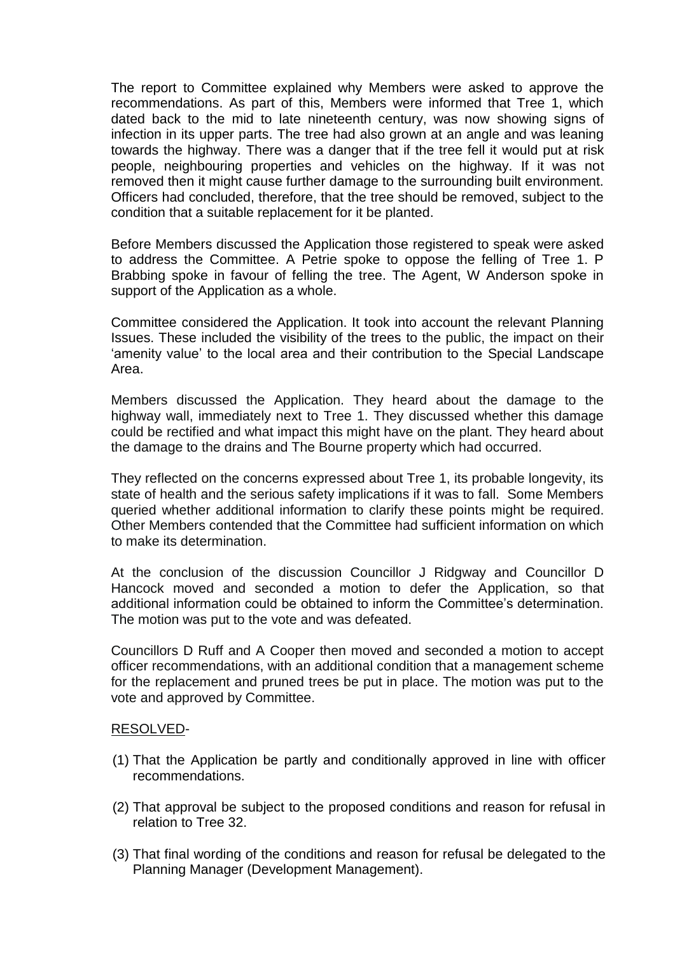The report to Committee explained why Members were asked to approve the recommendations. As part of this, Members were informed that Tree 1, which dated back to the mid to late nineteenth century, was now showing signs of infection in its upper parts. The tree had also grown at an angle and was leaning towards the highway. There was a danger that if the tree fell it would put at risk people, neighbouring properties and vehicles on the highway. If it was not removed then it might cause further damage to the surrounding built environment. Officers had concluded, therefore, that the tree should be removed, subject to the condition that a suitable replacement for it be planted.

Before Members discussed the Application those registered to speak were asked to address the Committee. A Petrie spoke to oppose the felling of Tree 1. P Brabbing spoke in favour of felling the tree. The Agent, W Anderson spoke in support of the Application as a whole.

Committee considered the Application. It took into account the relevant Planning Issues. These included the visibility of the trees to the public, the impact on their 'amenity value' to the local area and their contribution to the Special Landscape Area.

Members discussed the Application. They heard about the damage to the highway wall, immediately next to Tree 1. They discussed whether this damage could be rectified and what impact this might have on the plant. They heard about the damage to the drains and The Bourne property which had occurred.

They reflected on the concerns expressed about Tree 1, its probable longevity, its state of health and the serious safety implications if it was to fall. Some Members queried whether additional information to clarify these points might be required. Other Members contended that the Committee had sufficient information on which to make its determination.

At the conclusion of the discussion Councillor J Ridgway and Councillor D Hancock moved and seconded a motion to defer the Application, so that additional information could be obtained to inform the Committee's determination. The motion was put to the vote and was defeated.

Councillors D Ruff and A Cooper then moved and seconded a motion to accept officer recommendations, with an additional condition that a management scheme for the replacement and pruned trees be put in place. The motion was put to the vote and approved by Committee.

### RESOLVED-

- (1) That the Application be partly and conditionally approved in line with officer recommendations.
- (2) That approval be subject to the proposed conditions and reason for refusal in relation to Tree 32.
- (3) That final wording of the conditions and reason for refusal be delegated to the Planning Manager (Development Management).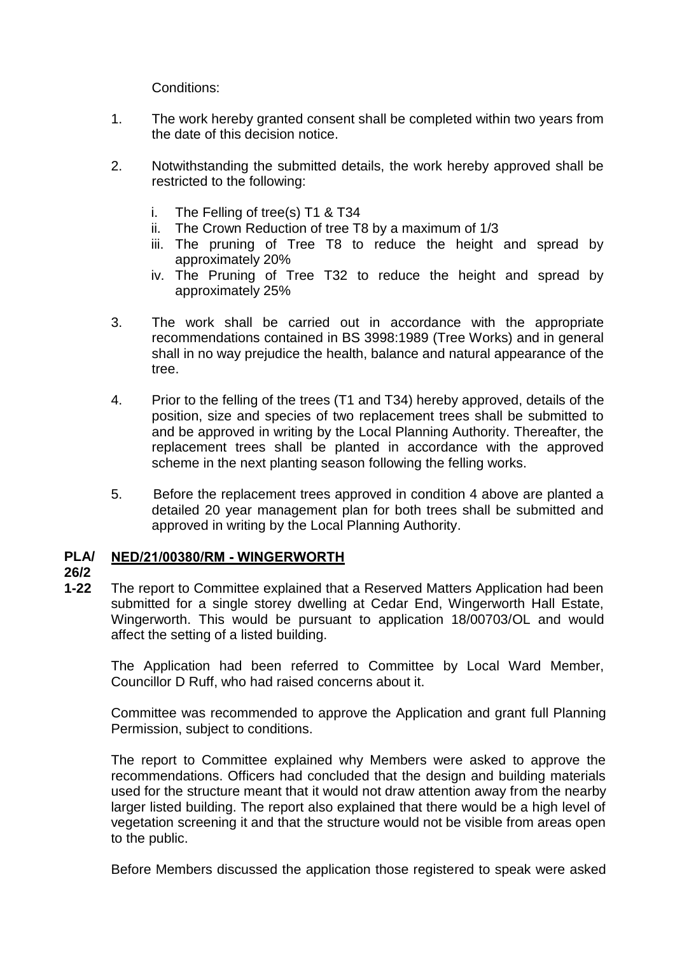Conditions:

- 1. The work hereby granted consent shall be completed within two years from the date of this decision notice.
- 2. Notwithstanding the submitted details, the work hereby approved shall be restricted to the following:
	- i. The Felling of tree(s) T1 & T34
	- ii. The Crown Reduction of tree T8 by a maximum of 1/3
	- iii. The pruning of Tree T8 to reduce the height and spread by approximately 20%
	- iv. The Pruning of Tree T32 to reduce the height and spread by approximately 25%
- 3. The work shall be carried out in accordance with the appropriate recommendations contained in BS 3998:1989 (Tree Works) and in general shall in no way prejudice the health, balance and natural appearance of the tree.
- 4. Prior to the felling of the trees (T1 and T34) hereby approved, details of the position, size and species of two replacement trees shall be submitted to and be approved in writing by the Local Planning Authority. Thereafter, the replacement trees shall be planted in accordance with the approved scheme in the next planting season following the felling works.
- 5. Before the replacement trees approved in condition 4 above are planted a detailed 20 year management plan for both trees shall be submitted and approved in writing by the Local Planning Authority.

#### **PLA/ NED/21/00380/RM - WINGERWORTH**

**26/2**

**1-22** The report to Committee explained that a Reserved Matters Application had been submitted for a single storey dwelling at Cedar End, Wingerworth Hall Estate, Wingerworth. This would be pursuant to application 18/00703/OL and would affect the setting of a listed building.

The Application had been referred to Committee by Local Ward Member, Councillor D Ruff, who had raised concerns about it.

Committee was recommended to approve the Application and grant full Planning Permission, subject to conditions.

The report to Committee explained why Members were asked to approve the recommendations. Officers had concluded that the design and building materials used for the structure meant that it would not draw attention away from the nearby larger listed building. The report also explained that there would be a high level of vegetation screening it and that the structure would not be visible from areas open to the public.

Before Members discussed the application those registered to speak were asked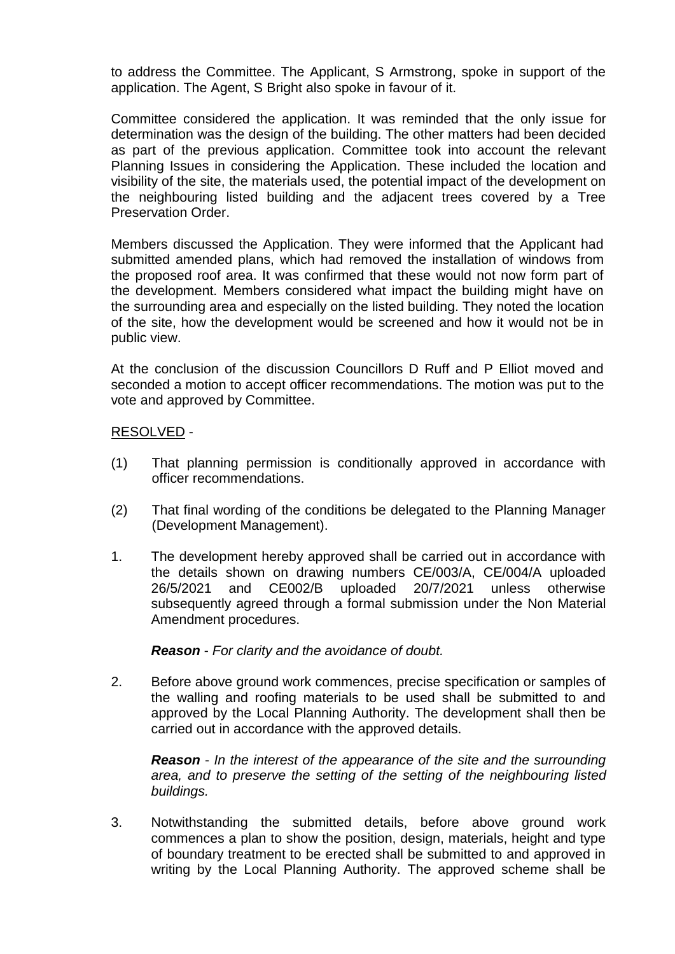to address the Committee. The Applicant, S Armstrong, spoke in support of the application. The Agent, S Bright also spoke in favour of it.

Committee considered the application. It was reminded that the only issue for determination was the design of the building. The other matters had been decided as part of the previous application. Committee took into account the relevant Planning Issues in considering the Application. These included the location and visibility of the site, the materials used, the potential impact of the development on the neighbouring listed building and the adjacent trees covered by a Tree Preservation Order.

Members discussed the Application. They were informed that the Applicant had submitted amended plans, which had removed the installation of windows from the proposed roof area. It was confirmed that these would not now form part of the development. Members considered what impact the building might have on the surrounding area and especially on the listed building. They noted the location of the site, how the development would be screened and how it would not be in public view.

At the conclusion of the discussion Councillors D Ruff and P Elliot moved and seconded a motion to accept officer recommendations. The motion was put to the vote and approved by Committee.

## RESOLVED -

- (1) That planning permission is conditionally approved in accordance with officer recommendations.
- (2) That final wording of the conditions be delegated to the Planning Manager (Development Management).
- 1. The development hereby approved shall be carried out in accordance with the details shown on drawing numbers CE/003/A, CE/004/A uploaded 26/5/2021 and CE002/B uploaded 20/7/2021 unless otherwise subsequently agreed through a formal submission under the Non Material Amendment procedures.

### *Reason* - *For clarity and the avoidance of doubt.*

2. Before above ground work commences, precise specification or samples of the walling and roofing materials to be used shall be submitted to and approved by the Local Planning Authority. The development shall then be carried out in accordance with the approved details.

*Reason* - *In the interest of the appearance of the site and the surrounding area, and to preserve the setting of the setting of the neighbouring listed buildings.*

3. Notwithstanding the submitted details, before above ground work commences a plan to show the position, design, materials, height and type of boundary treatment to be erected shall be submitted to and approved in writing by the Local Planning Authority. The approved scheme shall be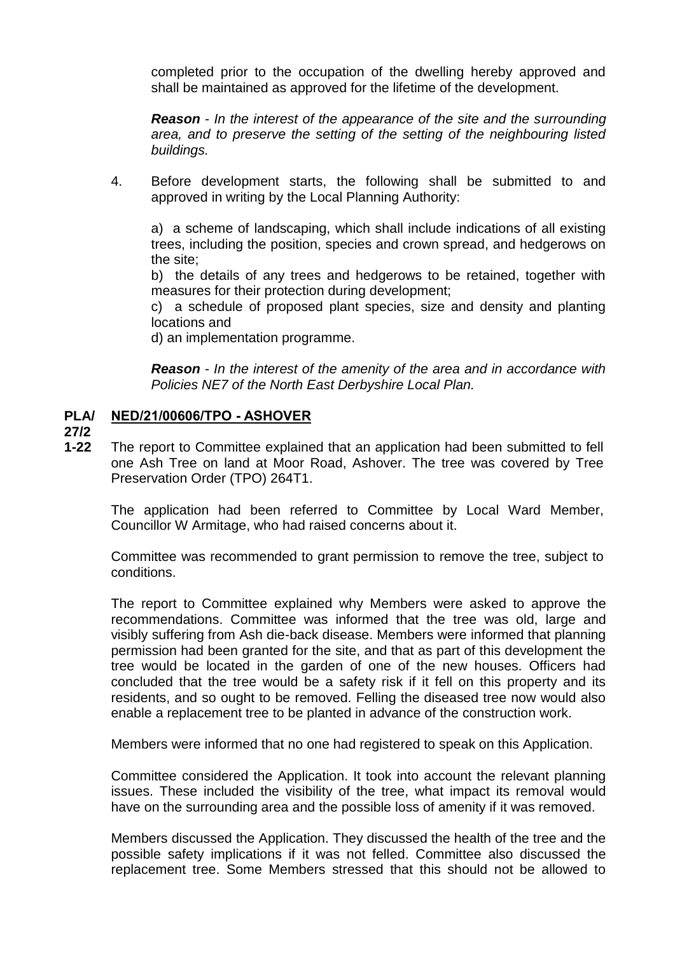completed prior to the occupation of the dwelling hereby approved and shall be maintained as approved for the lifetime of the development.

*Reason* - *In the interest of the appearance of the site and the surrounding area, and to preserve the setting of the setting of the neighbouring listed buildings.*

4. Before development starts, the following shall be submitted to and approved in writing by the Local Planning Authority:

a) a scheme of landscaping, which shall include indications of all existing trees, including the position, species and crown spread, and hedgerows on the site;

b) the details of any trees and hedgerows to be retained, together with measures for their protection during development;

c) a schedule of proposed plant species, size and density and planting locations and

d) an implementation programme.

*Reason* - *In the interest of the amenity of the area and in accordance with Policies NE7 of the North East Derbyshire Local Plan.*

#### **PLA/ NED/21/00606/TPO - ASHOVER**

- **27/2**
- **1-22** The report to Committee explained that an application had been submitted to fell one Ash Tree on land at Moor Road, Ashover. The tree was covered by Tree Preservation Order (TPO) 264T1.

The application had been referred to Committee by Local Ward Member, Councillor W Armitage, who had raised concerns about it.

Committee was recommended to grant permission to remove the tree, subject to conditions.

The report to Committee explained why Members were asked to approve the recommendations. Committee was informed that the tree was old, large and visibly suffering from Ash die-back disease. Members were informed that planning permission had been granted for the site, and that as part of this development the tree would be located in the garden of one of the new houses. Officers had concluded that the tree would be a safety risk if it fell on this property and its residents, and so ought to be removed. Felling the diseased tree now would also enable a replacement tree to be planted in advance of the construction work.

Members were informed that no one had registered to speak on this Application.

Committee considered the Application. It took into account the relevant planning issues. These included the visibility of the tree, what impact its removal would have on the surrounding area and the possible loss of amenity if it was removed.

Members discussed the Application. They discussed the health of the tree and the possible safety implications if it was not felled. Committee also discussed the replacement tree. Some Members stressed that this should not be allowed to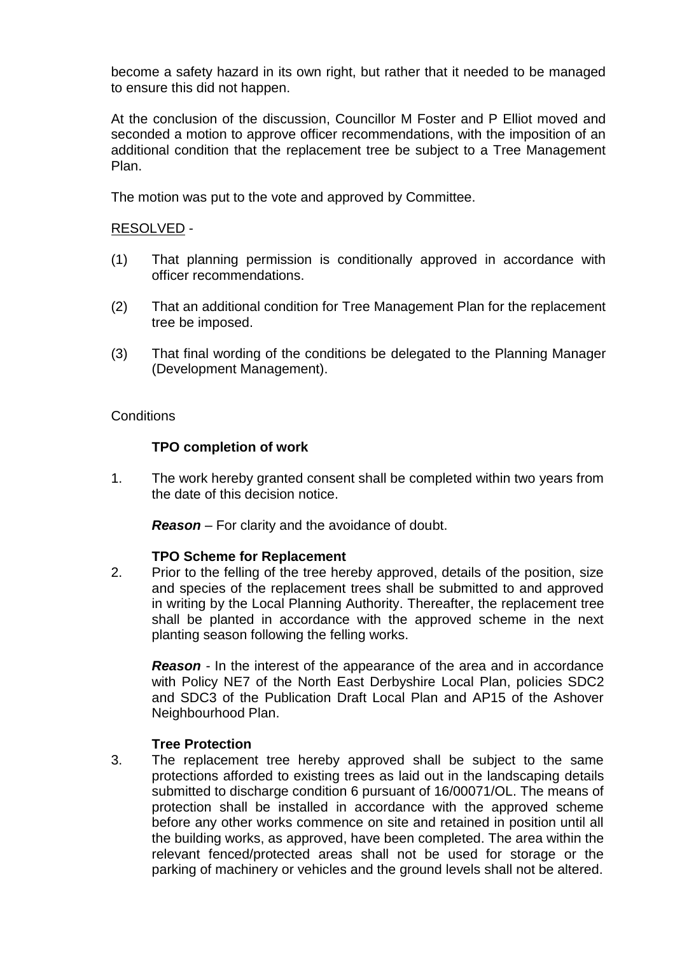become a safety hazard in its own right, but rather that it needed to be managed to ensure this did not happen.

At the conclusion of the discussion, Councillor M Foster and P Elliot moved and seconded a motion to approve officer recommendations, with the imposition of an additional condition that the replacement tree be subject to a Tree Management Plan.

The motion was put to the vote and approved by Committee.

# RESOLVED -

- (1) That planning permission is conditionally approved in accordance with officer recommendations.
- (2) That an additional condition for Tree Management Plan for the replacement tree be imposed.
- (3) That final wording of the conditions be delegated to the Planning Manager (Development Management).

## **Conditions**

# **TPO completion of work**

1. The work hereby granted consent shall be completed within two years from the date of this decision notice.

*Reason –* For clarity and the avoidance of doubt.

## **TPO Scheme for Replacement**

2. Prior to the felling of the tree hereby approved, details of the position, size and species of the replacement trees shall be submitted to and approved in writing by the Local Planning Authority. Thereafter, the replacement tree shall be planted in accordance with the approved scheme in the next planting season following the felling works.

*Reason* - In the interest of the appearance of the area and in accordance with Policy NE7 of the North East Derbyshire Local Plan, policies SDC2 and SDC3 of the Publication Draft Local Plan and AP15 of the Ashover Neighbourhood Plan.

## **Tree Protection**

3. The replacement tree hereby approved shall be subject to the same protections afforded to existing trees as laid out in the landscaping details submitted to discharge condition 6 pursuant of 16/00071/OL. The means of protection shall be installed in accordance with the approved scheme before any other works commence on site and retained in position until all the building works, as approved, have been completed. The area within the relevant fenced/protected areas shall not be used for storage or the parking of machinery or vehicles and the ground levels shall not be altered.